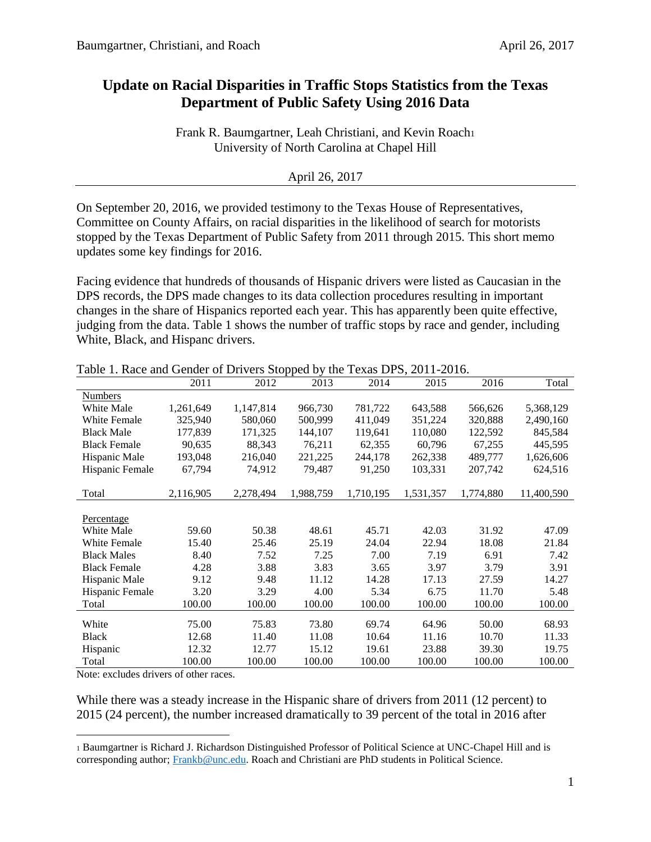## **Update on Racial Disparities in Traffic Stops Statistics from the Texas Department of Public Safety Using 2016 Data**

Frank R. Baumgartner, Leah Christiani, and Kevin Roach University of North Carolina at Chapel Hill

## April 26, 2017

On September 20, 2016, we provided testimony to the Texas House of Representatives, Committee on County Affairs, on racial disparities in the likelihood of search for motorists stopped by the Texas Department of Public Safety from 2011 through 2015. This short memo updates some key findings for 2016.

Facing evidence that hundreds of thousands of Hispanic drivers were listed as Caucasian in the DPS records, the DPS made changes to its data collection procedures resulting in important changes in the share of Hispanics reported each year. This has apparently been quite effective, judging from the data. Table 1 shows the number of traffic stops by race and gender, including White, Black, and Hispanc drivers.

|                     | 2011      | 2012      | 2013      | 2014      | 2015      | 2016      | Total      |
|---------------------|-----------|-----------|-----------|-----------|-----------|-----------|------------|
| <b>Numbers</b>      |           |           |           |           |           |           |            |
| White Male          | 1,261,649 | 1,147,814 | 966,730   | 781,722   | 643,588   | 566,626   | 5,368,129  |
| <b>White Female</b> | 325,940   | 580,060   | 500,999   | 411,049   | 351,224   | 320,888   | 2,490,160  |
| <b>Black Male</b>   | 177,839   | 171,325   | 144,107   | 119,641   | 110,080   | 122,592   | 845,584    |
| <b>Black Female</b> | 90,635    | 88,343    | 76,211    | 62,355    | 60,796    | 67,255    | 445,595    |
| Hispanic Male       | 193,048   | 216,040   | 221,225   | 244,178   | 262,338   | 489,777   | 1,626,606  |
| Hispanic Female     | 67,794    | 74,912    | 79,487    | 91,250    | 103,331   | 207,742   | 624,516    |
|                     |           |           |           |           |           |           |            |
| Total               | 2,116,905 | 2,278,494 | 1,988,759 | 1,710,195 | 1,531,357 | 1,774,880 | 11,400,590 |
|                     |           |           |           |           |           |           |            |
| Percentage          |           |           |           |           |           |           |            |
| White Male          | 59.60     | 50.38     | 48.61     | 45.71     | 42.03     | 31.92     | 47.09      |
| White Female        | 15.40     | 25.46     | 25.19     | 24.04     | 22.94     | 18.08     | 21.84      |
| <b>Black Males</b>  | 8.40      | 7.52      | 7.25      | 7.00      | 7.19      | 6.91      | 7.42       |
| <b>Black Female</b> | 4.28      | 3.88      | 3.83      | 3.65      | 3.97      | 3.79      | 3.91       |
| Hispanic Male       | 9.12      | 9.48      | 11.12     | 14.28     | 17.13     | 27.59     | 14.27      |
| Hispanic Female     | 3.20      | 3.29      | 4.00      | 5.34      | 6.75      | 11.70     | 5.48       |
| Total               | 100.00    | 100.00    | 100.00    | 100.00    | 100.00    | 100.00    | 100.00     |
|                     |           |           |           |           |           |           |            |
| White               | 75.00     | 75.83     | 73.80     | 69.74     | 64.96     | 50.00     | 68.93      |
| <b>Black</b>        | 12.68     | 11.40     | 11.08     | 10.64     | 11.16     | 10.70     | 11.33      |
| Hispanic            | 12.32     | 12.77     | 15.12     | 19.61     | 23.88     | 39.30     | 19.75      |
| Total               | 100.00    | 100.00    | 100.00    | 100.00    | 100.00    | 100.00    | 100.00     |

Table 1. Race and Gender of Drivers Stopped by the Texas DPS, 2011-2016.

Note: excludes drivers of other races.

 $\overline{a}$ 

While there was a steady increase in the Hispanic share of drivers from 2011 (12 percent) to 2015 (24 percent), the number increased dramatically to 39 percent of the total in 2016 after

<sup>1</sup> Baumgartner is Richard J. Richardson Distinguished Professor of Political Science at UNC-Chapel Hill and is corresponding author; [Frankb@unc.edu.](mailto:Frankb@unc.edu) Roach and Christiani are PhD students in Political Science.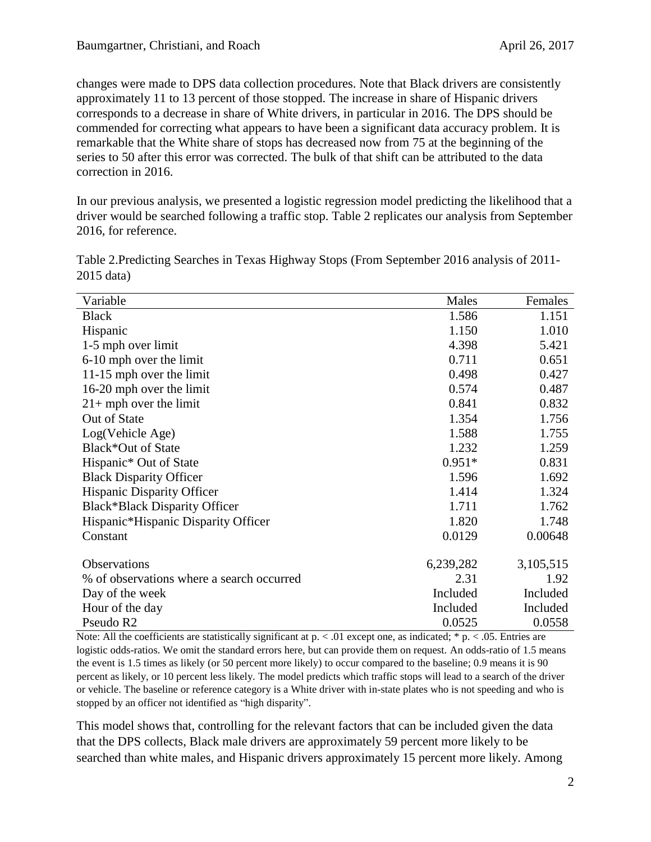changes were made to DPS data collection procedures. Note that Black drivers are consistently approximately 11 to 13 percent of those stopped. The increase in share of Hispanic drivers corresponds to a decrease in share of White drivers, in particular in 2016. The DPS should be commended for correcting what appears to have been a significant data accuracy problem. It is remarkable that the White share of stops has decreased now from 75 at the beginning of the series to 50 after this error was corrected. The bulk of that shift can be attributed to the data correction in 2016.

In our previous analysis, we presented a logistic regression model predicting the likelihood that a driver would be searched following a traffic stop. Table 2 replicates our analysis from September 2016, for reference.

| Variable                                  | Males     | Females   |
|-------------------------------------------|-----------|-----------|
| <b>Black</b>                              | 1.586     | 1.151     |
| Hispanic                                  | 1.150     | 1.010     |
| 1-5 mph over limit                        | 4.398     | 5.421     |
| 6-10 mph over the limit                   | 0.711     | 0.651     |
| 11-15 mph over the limit                  | 0.498     | 0.427     |
| 16-20 mph over the limit                  | 0.574     | 0.487     |
| $21+$ mph over the limit                  | 0.841     | 0.832     |
| Out of State                              | 1.354     | 1.756     |
| Log(Vehicle Age)                          | 1.588     | 1.755     |
| Black*Out of State                        | 1.232     | 1.259     |
| Hispanic* Out of State                    | $0.951*$  | 0.831     |
| <b>Black Disparity Officer</b>            | 1.596     | 1.692     |
| <b>Hispanic Disparity Officer</b>         | 1.414     | 1.324     |
| <b>Black*Black Disparity Officer</b>      | 1.711     | 1.762     |
| Hispanic*Hispanic Disparity Officer       | 1.820     | 1.748     |
| Constant                                  | 0.0129    | 0.00648   |
| Observations                              | 6,239,282 | 3,105,515 |
| % of observations where a search occurred | 2.31      | 1.92      |
| Day of the week                           | Included  | Included  |
| Hour of the day                           | Included  | Included  |
| Pseudo R <sub>2</sub>                     | 0.0525    | 0.0558    |

Table 2.Predicting Searches in Texas Highway Stops (From September 2016 analysis of 2011- 2015 data)

Note: All the coefficients are statistically significant at  $p \le 0.01$  except one, as indicated; \*  $p \le 0.05$ . Entries are logistic odds-ratios. We omit the standard errors here, but can provide them on request. An odds-ratio of 1.5 means the event is 1.5 times as likely (or 50 percent more likely) to occur compared to the baseline; 0.9 means it is 90 percent as likely, or 10 percent less likely. The model predicts which traffic stops will lead to a search of the driver or vehicle. The baseline or reference category is a White driver with in-state plates who is not speeding and who is stopped by an officer not identified as "high disparity".

This model shows that, controlling for the relevant factors that can be included given the data that the DPS collects, Black male drivers are approximately 59 percent more likely to be searched than white males, and Hispanic drivers approximately 15 percent more likely. Among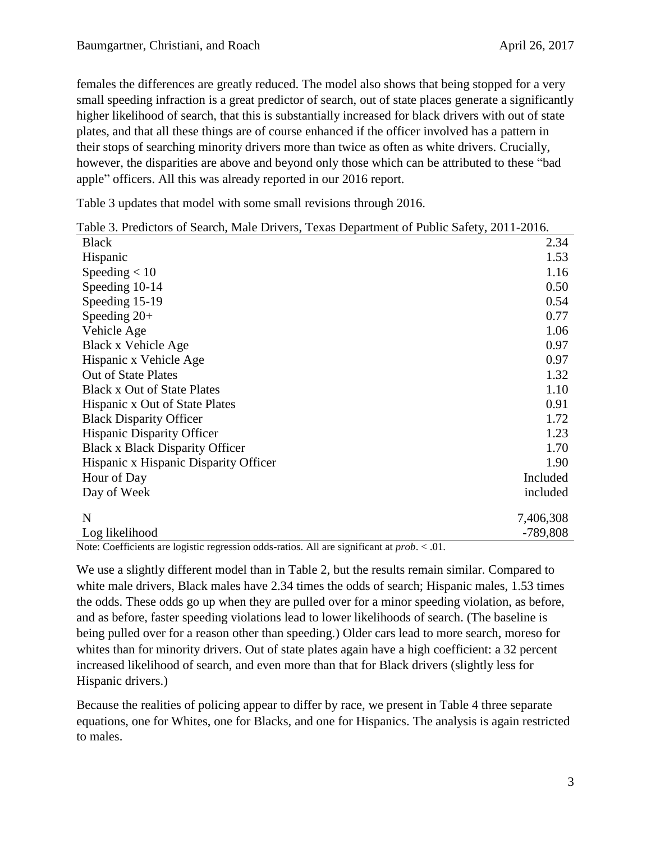females the differences are greatly reduced. The model also shows that being stopped for a very small speeding infraction is a great predictor of search, out of state places generate a significantly higher likelihood of search, that this is substantially increased for black drivers with out of state plates, and that all these things are of course enhanced if the officer involved has a pattern in their stops of searching minority drivers more than twice as often as white drivers. Crucially, however, the disparities are above and beyond only those which can be attributed to these "bad apple" officers. All this was already reported in our 2016 report.

Table 3 updates that model with some small revisions through 2016.

|  |  |  |  | Table 3. Predictors of Search, Male Drivers, Texas Department of Public Safety, 2011-2016. |  |
|--|--|--|--|--------------------------------------------------------------------------------------------|--|
|--|--|--|--|--------------------------------------------------------------------------------------------|--|

| <b>Black</b>                           | 2.34       |
|----------------------------------------|------------|
| Hispanic                               | 1.53       |
| Speeding $< 10$                        | 1.16       |
| Speeding 10-14                         | 0.50       |
| Speeding 15-19                         | 0.54       |
| Speeding $20+$                         | 0.77       |
| Vehicle Age                            | 1.06       |
| Black x Vehicle Age                    | 0.97       |
| Hispanic x Vehicle Age                 | 0.97       |
| <b>Out of State Plates</b>             | 1.32       |
| <b>Black x Out of State Plates</b>     | 1.10       |
| Hispanic x Out of State Plates         | 0.91       |
| <b>Black Disparity Officer</b>         | 1.72       |
| <b>Hispanic Disparity Officer</b>      | 1.23       |
| <b>Black x Black Disparity Officer</b> | 1.70       |
| Hispanic x Hispanic Disparity Officer  | 1.90       |
| Hour of Day                            | Included   |
| Day of Week                            | included   |
| N                                      | 7,406,308  |
| Log likelihood                         | $-789,808$ |

Note: Coefficients are logistic regression odds-ratios. All are significant at *prob*. < .01.

We use a slightly different model than in Table 2, but the results remain similar. Compared to white male drivers, Black males have 2.34 times the odds of search; Hispanic males, 1.53 times the odds. These odds go up when they are pulled over for a minor speeding violation, as before, and as before, faster speeding violations lead to lower likelihoods of search. (The baseline is being pulled over for a reason other than speeding.) Older cars lead to more search, moreso for whites than for minority drivers. Out of state plates again have a high coefficient: a 32 percent increased likelihood of search, and even more than that for Black drivers (slightly less for Hispanic drivers.)

Because the realities of policing appear to differ by race, we present in Table 4 three separate equations, one for Whites, one for Blacks, and one for Hispanics. The analysis is again restricted to males.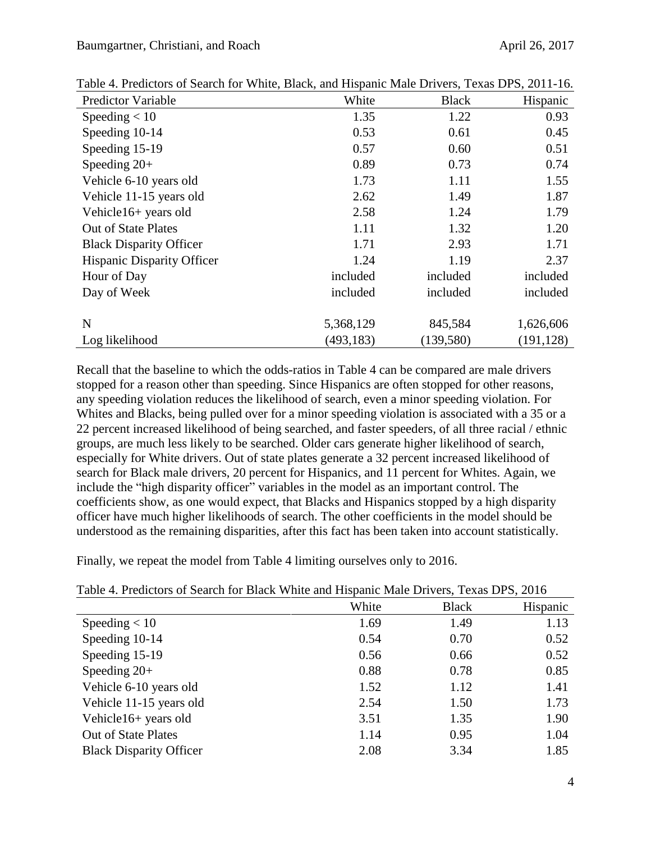| <b>Predictor Variable</b>         | White      | <b>Black</b> | Hispanic   |
|-----------------------------------|------------|--------------|------------|
| Speeding $< 10$                   | 1.35       | 1.22         | 0.93       |
| Speeding 10-14                    | 0.53       | 0.61         | 0.45       |
| Speeding 15-19                    | 0.57       | 0.60         | 0.51       |
| Speeding $20+$                    | 0.89       | 0.73         | 0.74       |
| Vehicle 6-10 years old            | 1.73       | 1.11         | 1.55       |
| Vehicle 11-15 years old           | 2.62       | 1.49         | 1.87       |
| Vehicle16+ years old              | 2.58       | 1.24         | 1.79       |
| <b>Out of State Plates</b>        | 1.11       | 1.32         | 1.20       |
| <b>Black Disparity Officer</b>    | 1.71       | 2.93         | 1.71       |
| <b>Hispanic Disparity Officer</b> | 1.24       | 1.19         | 2.37       |
| Hour of Day                       | included   | included     | included   |
| Day of Week                       | included   | included     | included   |
|                                   |            |              |            |
| N                                 | 5,368,129  | 845,584      | 1,626,606  |
| Log likelihood                    | (493, 183) | (139,580)    | (191, 128) |

Table 4. Predictors of Search for White, Black, and Hispanic Male Drivers, Texas DPS, 2011-16.

Recall that the baseline to which the odds-ratios in Table 4 can be compared are male drivers stopped for a reason other than speeding. Since Hispanics are often stopped for other reasons, any speeding violation reduces the likelihood of search, even a minor speeding violation. For Whites and Blacks, being pulled over for a minor speeding violation is associated with a 35 or a 22 percent increased likelihood of being searched, and faster speeders, of all three racial / ethnic groups, are much less likely to be searched. Older cars generate higher likelihood of search, especially for White drivers. Out of state plates generate a 32 percent increased likelihood of search for Black male drivers, 20 percent for Hispanics, and 11 percent for Whites. Again, we include the "high disparity officer" variables in the model as an important control. The coefficients show, as one would expect, that Blacks and Hispanics stopped by a high disparity officer have much higher likelihoods of search. The other coefficients in the model should be understood as the remaining disparities, after this fact has been taken into account statistically.

Finally, we repeat the model from Table 4 limiting ourselves only to 2016.

| Twore it I reduction of Demonstrate Diagnon with the microscopanic Dirichlete Production Dirichlete | White | <b>Black</b> | Hispanic |
|-----------------------------------------------------------------------------------------------------|-------|--------------|----------|
|                                                                                                     |       |              |          |
| Speeding $< 10$                                                                                     | 1.69  | 1.49         | 1.13     |
| Speeding 10-14                                                                                      | 0.54  | 0.70         | 0.52     |
| Speeding 15-19                                                                                      | 0.56  | 0.66         | 0.52     |
| Speeding $20+$                                                                                      | 0.88  | 0.78         | 0.85     |
| Vehicle 6-10 years old                                                                              | 1.52  | 1.12         | 1.41     |
| Vehicle 11-15 years old                                                                             | 2.54  | 1.50         | 1.73     |
| Vehicle16+ years old                                                                                | 3.51  | 1.35         | 1.90     |
| <b>Out of State Plates</b>                                                                          | 1.14  | 0.95         | 1.04     |
| <b>Black Disparity Officer</b>                                                                      | 2.08  | 3.34         | 1.85     |

Table 4. Predictors of Search for Black White and Hispanic Male Drivers, Texas DPS, 2016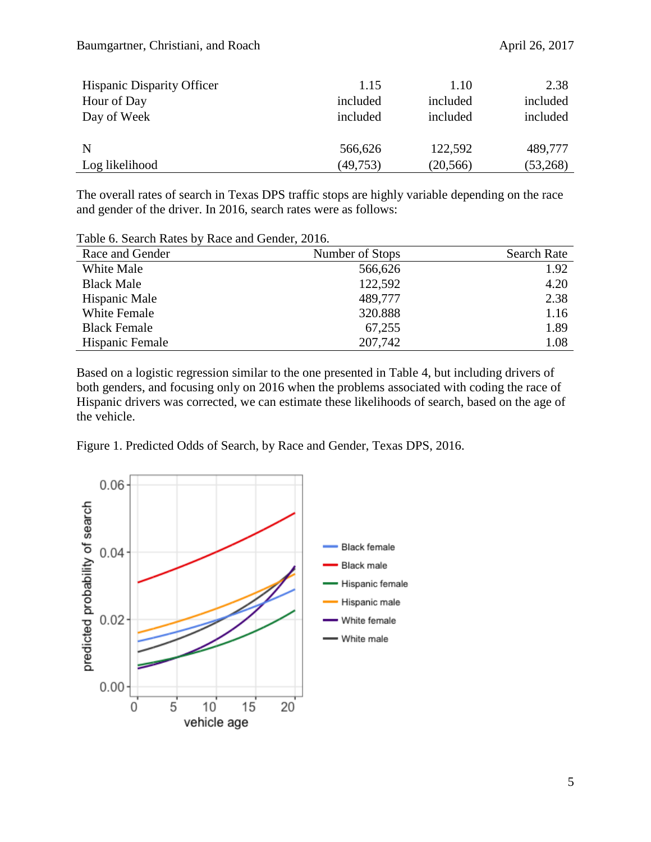| <b>Hispanic Disparity Officer</b> | 1.15      | 1.10      | 2.38     |
|-----------------------------------|-----------|-----------|----------|
| Hour of Day                       | included  | included  | included |
| Day of Week                       | included  | included  | included |
|                                   |           |           |          |
| N                                 | 566,626   | 122,592   | 489,777  |
| Log likelihood                    | (49, 753) | (20, 566) | (53,268) |

The overall rates of search in Texas DPS traffic stops are highly variable depending on the race and gender of the driver. In 2016, search rates were as follows:

| Table 6. Search Kates by Kace and Ochuci, 2010. |                 |                    |
|-------------------------------------------------|-----------------|--------------------|
| Race and Gender                                 | Number of Stops | <b>Search Rate</b> |
| White Male                                      | 566,626         | 1.92               |
| <b>Black Male</b>                               | 122,592         | 4.20               |
| Hispanic Male                                   | 489,777         | 2.38               |
| White Female                                    | 320.888         | 1.16               |
| <b>Black Female</b>                             | 67,255          | 1.89               |
| Hispanic Female                                 | 207,742         | 1.08               |
|                                                 |                 |                    |

Table 6. Search Rates by Race and Gender, 2016.

Based on a logistic regression similar to the one presented in Table 4, but including drivers of both genders, and focusing only on 2016 when the problems associated with coding the race of Hispanic drivers was corrected, we can estimate these likelihoods of search, based on the age of the vehicle.

Figure 1. Predicted Odds of Search, by Race and Gender, Texas DPS, 2016.